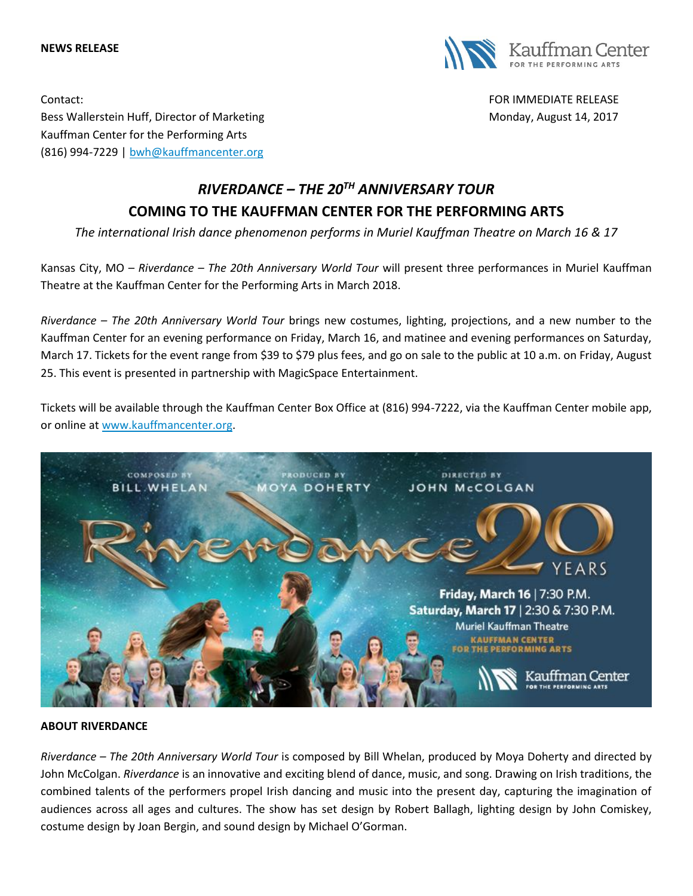#### **NEWS RELEASE**



Contact: FOR IMMEDIATE RELEASE Bess Wallerstein Huff, Director of Marketing Monday, August 14, 2017 Kauffman Center for the Performing Arts (816) 994-7229 | [bwh@kauffmancenter.org](mailto:bwh@kauffmancenter.org)

# *RIVERDANCE – THE 20TH ANNIVERSARY TOUR* **COMING TO THE KAUFFMAN CENTER FOR THE PERFORMING ARTS**

*The international Irish dance phenomenon performs in Muriel Kauffman Theatre on March 16 & 17*

Kansas City, MO – *Riverdance – The 20th Anniversary World Tour* will present three performances in Muriel Kauffman Theatre at the Kauffman Center for the Performing Arts in March 2018.

*Riverdance – The 20th Anniversary World Tour* brings new costumes, lighting, projections, and a new number to the Kauffman Center for an evening performance on Friday, March 16, and matinee and evening performances on Saturday, March 17. Tickets for the event range from \$39 to \$79 plus fees, and go on sale to the public at 10 a.m. on Friday, August 25. This event is presented in partnership with MagicSpace Entertainment.

Tickets will be available through the Kauffman Center Box Office at (816) 994-7222, via the Kauffman Center mobile app, or online at [www.kauffmancenter.org.](http://www.kauffmancenter.org/)



#### **ABOUT RIVERDANCE**

*Riverdance – The 20th Anniversary World Tour* is composed by Bill Whelan, produced by Moya Doherty and directed by John McColgan. *Riverdance* is an innovative and exciting blend of dance, music, and song. Drawing on Irish traditions, the combined talents of the performers propel Irish dancing and music into the present day, capturing the imagination of audiences across all ages and cultures. The show has set design by Robert Ballagh, lighting design by John Comiskey, costume design by Joan Bergin, and sound design by Michael O'Gorman.